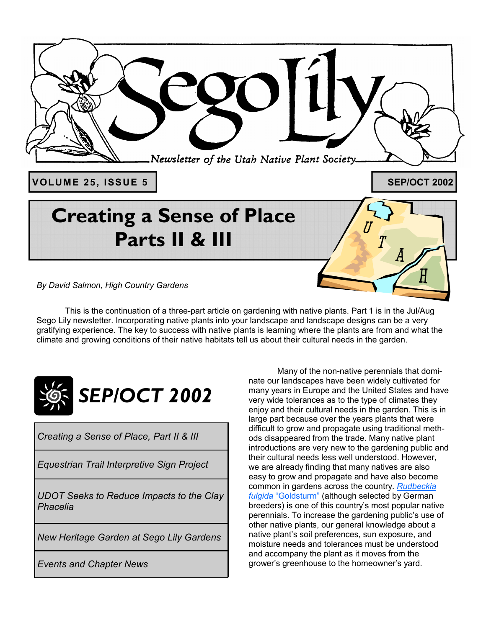

*By David Salmon, High Country Gardens* 

This is the continuation of a three-part article on gardening with native plants. Part 1 is in the Jul/Aug Sego Lily newsletter. Incorporating native plants into your landscape and landscape designs can be a very gratifying experience. The key to success with native plants is learning where the plants are from and what the climate and growing conditions of their native habitats tell us about their cultural needs in the garden.



*Creating a Sense of Place, Part II & III* 

*Equestrian Trail Interpretive Sign Project* 

*UDOT Seeks to Reduce Impacts to the Clay Phacelia* 

*New Heritage Garden at Sego Lily Gardens* 

*Events and Chapter News* 

 Many of the non-native perennials that dominate our landscapes have been widely cultivated for many years in Europe and the United States and have very wide tolerances as to the type of climates they enjoy and their cultural needs in the garden. This is in large part because over the years plants that were difficult to grow and propagate using traditional methods disappeared from the trade. Many native plant introductions are very new to the gardening public and their cultural needs less well understood. However, we are already finding that many natives are also easy to grow and propagate and have also become common in gardens across the country. *Rudbeckia fulgida* "Goldsturm" (although selected by German breeders) is one of this country's most popular native perennials. To increase the gardening public's use of other native plants, our general knowledge about a native plant's soil preferences, sun exposure, and moisture needs and tolerances must be understood and accompany the plant as it moves from the grower's greenhouse to the homeowner's yard.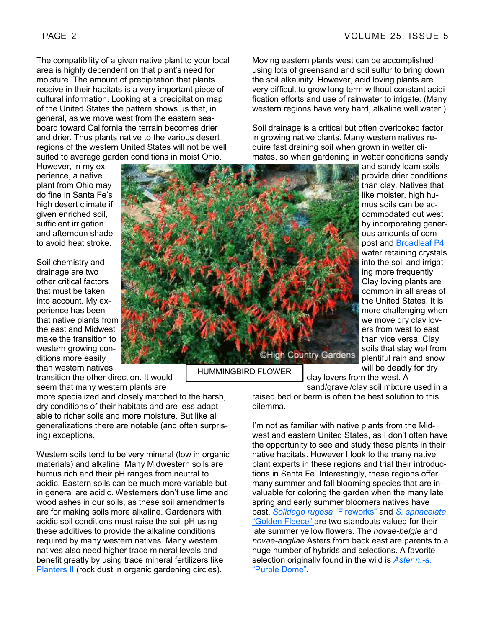The compatibility of a given native plant to your local area is highly dependent on that plant's need for moisture. The amount of precipitation that plants receive in their habitats is a very important piece of cultural information. Looking at a precipitation map of the United States the pattern shows us that, in general, as we move west from the eastern seaboard toward California the terrain becomes drier and drier. Thus plants native to the various desert regions of the western United States will not be well suited to average garden conditions in moist Ohio.

However, in my experience, a native plant from Ohio may do fine in Santa Fe's high desert climate if given enriched soil, sufficient irrigation and afternoon shade to avoid heat stroke.

Soil chemistry and drainage are two other critical factors that must be taken into account. My experience has been that native plants from the east and Midwest make the transition to western growing conditions more easily than western natives

transition the other direction. It would seem that many western plants are

more specialized and closely matched to the harsh, dry conditions of their habitats and are less adaptable to richer soils and more moisture. But like all generalizations there are notable (and often surprising) exceptions.

Western soils tend to be very mineral (low in organic materials) and alkaline. Many Midwestern soils are humus rich and their pH ranges from neutral to acidic. Eastern soils can be much more variable but in general are acidic. Westerners don't use lime and wood ashes in our soils, as these soil amendments are for making soils more alkaline. Gardeners with acidic soil conditions must raise the soil pH using these additives to provide the alkaline conditions required by many western natives. Many western natives also need higher trace mineral levels and benefit greatly by using trace mineral fertilizers like **Planters II** (rock dust in organic gardening circles).



HUMMINGBIRD FLOWER

Moving eastern plants west can be accomplished using lots of greensand and soil sulfur to bring down the soil alkalinity. However, acid loving plants are very difficult to grow long term without constant acidification efforts and use of rainwater to irrigate. (Many western regions have very hard, alkaline well water.)

Soil drainage is a critical but often overlooked factor in growing native plants. Many western natives require fast draining soil when grown in wetter climates, so when gardening in wetter conditions sandy

> and sandy loam soils provide drier conditions than clay. Natives that like moister, high humus soils can be accommodated out west by incorporating generous amounts of compost and Broadleaf P4 water retaining crystals into the soil and irrigating more frequently. Clay loving plants are common in all areas of the United States. It is more challenging when we move dry clay lovers from west to east than vice versa. Clay soils that stay wet from plentiful rain and snow will be deadly for dry

clay lovers from the west. A

sand/gravel/clay soil mixture used in a raised bed or berm is often the best solution to this dilemma.

I'm not as familiar with native plants from the Midwest and eastern United States, as I don't often have the opportunity to see and study these plants in their native habitats. However I look to the many native plant experts in these regions and trial their introductions in Santa Fe. Interestingly, these regions offer many summer and fall blooming species that are invaluable for coloring the garden when the many late spring and early summer bloomers natives have past. *Solidago rugosa* "Fireworks" and *S. sphacelata* "Golden Fleece" are two standouts valued for their late summer yellow flowers. The *novae-belgie* and *novae-angliae* Asters from back east are parents to a huge number of hybrids and selections. A favorite selection originally found in the wild is *Aster n.-a*. "Purple Dome".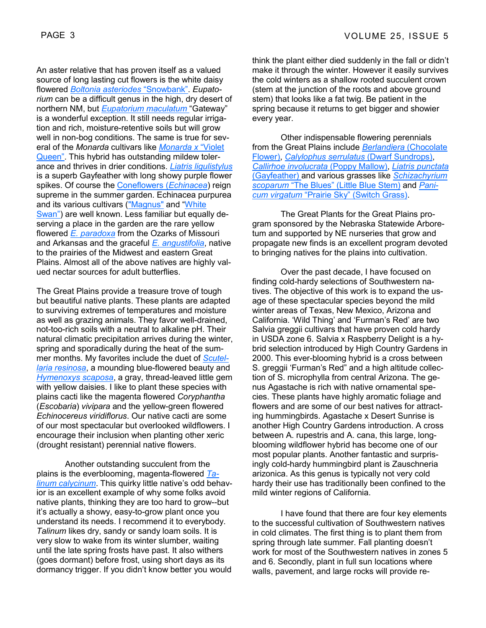An aster relative that has proven itself as a valued source of long lasting cut flowers is the white daisy flowered *Boltonia asteriodes* "Snowbank". *Eupatorium* can be a difficult genus in the high, dry desert of northern NM, but *Eupatorium maculatum* "Gateway" is a wonderful exception. It still needs regular irrigation and rich, moisture-retentive soils but will grow well in non-bog conditions. The same is true for several of the *Monarda* cultivars like *Monarda x* "Violet Queen". This hybrid has outstanding mildew tolerance and thrives in drier conditions. *Liatris ligulistylus* is a superb Gayfeather with long showy purple flower spikes. Of course the Coneflowers (*Echinacea*) reign supreme in the summer garden. Echinacea purpurea and its various cultivars ("Magnus" and "White Swan") are well known. Less familiar but equally deserving a place in the garden are the rare yellow flowered *E. paradoxa* from the Ozarks of Missouri and Arkansas and the graceful *E. angustifolia*, native to the prairies of the Midwest and eastern Great Plains. Almost all of the above natives are highly valued nectar sources for adult butterflies.

The Great Plains provide a treasure trove of tough but beautiful native plants. These plants are adapted to surviving extremes of temperatures and moisture as well as grazing animals. They favor well-drained, not-too-rich soils with a neutral to alkaline pH. Their natural climatic precipitation arrives during the winter, spring and sporadically during the heat of the summer months. My favorites include the duet of *Scutellaria resinosa*, a mounding blue-flowered beauty and *Hymenoxys scaposa*, a gray, thread-leaved little gem with yellow daisies. I like to plant these species with plains cacti like the magenta flowered *Coryphantha*  (*Escobaria*) *vivipara* and the yellow-green flowered *Echinocereus viridiflorus*. Our native cacti are some of our most spectacular but overlooked wildflowers. I encourage their inclusion when planting other xeric (drought resistant) perennial native flowers.

 Another outstanding succulent from the plains is the everblooming, magenta-flowered *Talinum calycinum*. This quirky little native's odd behavior is an excellent example of why some folks avoid native plants, thinking they are too hard to grow--but it's actually a showy, easy-to-grow plant once you understand its needs. I recommend it to everybody. *Talinum* likes dry, sandy or sandy loam soils. It is very slow to wake from its winter slumber, waiting until the late spring frosts have past. It also withers (goes dormant) before frost, using short days as its dormancy trigger. If you didn't know better you would think the plant either died suddenly in the fall or didn't make it through the winter. However it easily survives the cold winters as a shallow rooted succulent crown (stem at the junction of the roots and above ground stem) that looks like a fat twig. Be patient in the spring because it returns to get bigger and showier every year.

 Other indispensable flowering perennials from the Great Plains include *Berlandiera* (Chocolate Flower), *Calylophus serrulatus* (Dwarf Sundrops), *Callirhoe involucrata* (Poppy Mallow), *Liatris punctata* (Gayfeather) and various grasses like *Schizachyrium scoparum* "The Blues" (Little Blue Stem) and *Panicum virgatum* "Prairie Sky" (Switch Grass).

 The Great Plants for the Great Plains program sponsored by the Nebraska Statewide Arboretum and supported by NE nurseries that grow and propagate new finds is an excellent program devoted to bringing natives for the plains into cultivation.

 Over the past decade, I have focused on finding cold-hardy selections of Southwestern natives. The objective of this work is to expand the usage of these spectacular species beyond the mild winter areas of Texas, New Mexico, Arizona and California. 'Wild Thing' and 'Furman's Red' are two Salvia greggii cultivars that have proven cold hardy in USDA zone 6. Salvia x Raspberry Delight is a hybrid selection introduced by High Country Gardens in 2000. This ever-blooming hybrid is a cross between S. greggii 'Furman's Red" and a high altitude collection of S. microphylla from central Arizona. The genus Agastache is rich with native ornamental species. These plants have highly aromatic foliage and flowers and are some of our best natives for attracting hummingbirds. Agastache x Desert Sunrise is another High Country Gardens introduction. A cross between A. rupestris and A. cana, this large, longblooming wildflower hybrid has become one of our most popular plants. Another fantastic and surprisingly cold-hardy hummingbird plant is Zauschneria arizonica. As this genus is typically not very cold hardy their use has traditionally been confined to the mild winter regions of California.

 I have found that there are four key elements to the successful cultivation of Southwestern natives in cold climates. The first thing is to plant them from spring through late summer. Fall planting doesn't work for most of the Southwestern natives in zones 5 and 6. Secondly, plant in full sun locations where walls, pavement, and large rocks will provide re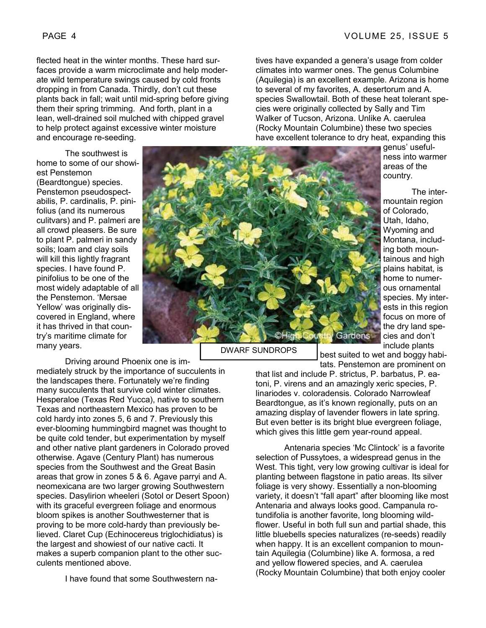flected heat in the winter months. These hard surfaces provide a warm microclimate and help moderate wild temperature swings caused by cold fronts dropping in from Canada. Thirdly, don't cut these plants back in fall; wait until mid-spring before giving them their spring trimming. And forth, plant in a lean, well-drained soil mulched with chipped gravel to help protect against excessive winter moisture and encourage re-seeding.

 The southwest is home to some of our showiest Penstemon (Beardtongue) species. Penstemon pseudospectabilis, P. cardinalis, P. pinifolius (and its numerous culitvars) and P. palmeri are all crowd pleasers. Be sure to plant P. palmeri in sandy soils; loam and clay soils will kill this lightly fragrant species. I have found P. pinifolius to be one of the most widely adaptable of all the Penstemon. 'Mersae Yellow' was originally discovered in England, where it has thrived in that country's maritime climate for many years.

Driving around Phoenix one is im-

mediately struck by the importance of succulents in the landscapes there. Fortunately we're finding many succulents that survive cold winter climates. Hesperaloe (Texas Red Yucca), native to southern Texas and northeastern Mexico has proven to be cold hardy into zones 5, 6 and 7. Previously this ever-blooming hummingbird magnet was thought to be quite cold tender, but experimentation by myself and other native plant gardeners in Colorado proved otherwise. Agave (Century Plant) has numerous species from the Southwest and the Great Basin areas that grow in zones 5 & 6. Agave parryi and A. neomexicana are two larger growing Southwestern species. Dasylirion wheeleri (Sotol or Desert Spoon) with its graceful evergreen foliage and enormous bloom spikes is another Southwesterner that is proving to be more cold-hardy than previously believed. Claret Cup (Echinocereus triglochidiatus) is the largest and showiest of our native cacti. It makes a superb companion plant to the other succulents mentioned above.

I have found that some Southwestern na-

tives have expanded a genera's usage from colder climates into warmer ones. The genus Columbine (Aquilegia) is an excellent example. Arizona is home to several of my favorites, A. desertorum and A. species Swallowtail. Both of these heat tolerant species were originally collected by Sally and Tim Walker of Tucson, Arizona. Unlike A. caerulea (Rocky Mountain Columbine) these two species have excellent tolerance to dry heat, expanding this

> genus' usefulness into warmer areas of the country.

 The intermountain region of Colorado, Utah, Idaho, Wyoming and Montana, including both mountainous and high plains habitat, is home to numerous ornamental species. My interests in this region focus on more of the dry land species and don't include plants

best suited to wet and boggy habitats. Penstemon are prominent on

that list and include P. strictus, P. barbatus, P. eatoni, P. virens and an amazingly xeric species, P. linariodes v. coloradensis. Colorado Narrowleaf Beardtongue, as it's known regionally, puts on an amazing display of lavender flowers in late spring. But even better is its bright blue evergreen foliage, which gives this little gem year-round appeal.

 Antenaria species 'Mc Clintock' is a favorite selection of Pussytoes, a widespread genus in the West. This tight, very low growing cultivar is ideal for planting between flagstone in patio areas. Its silver foliage is very showy. Essentially a non-blooming variety, it doesn't "fall apart" after blooming like most Antenaria and always looks good. Campanula rotundifolia is another favorite, long blooming wildflower. Useful in both full sun and partial shade, this little bluebells species naturalizes (re-seeds) readily when happy. It is an excellent companion to mountain Aquilegia (Columbine) like A. formosa, a red and yellow flowered species, and A. caerulea (Rocky Mountain Columbine) that both enjoy cooler

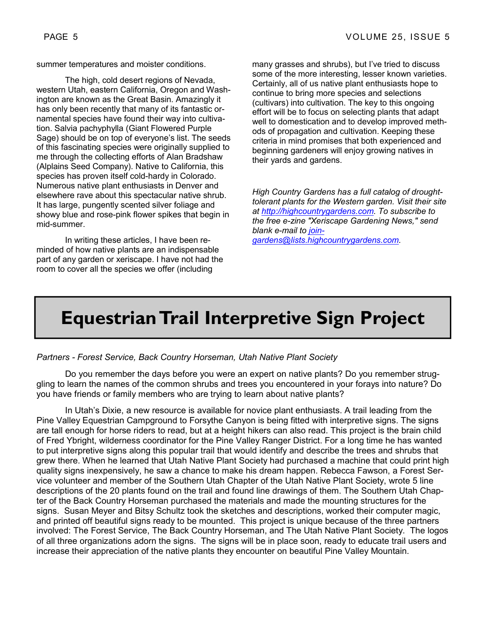summer temperatures and moister conditions.

 The high, cold desert regions of Nevada, western Utah, eastern California, Oregon and Washington are known as the Great Basin. Amazingly it has only been recently that many of its fantastic ornamental species have found their way into cultivation. Salvia pachyphylla (Giant Flowered Purple Sage) should be on top of everyone's list. The seeds of this fascinating species were originally supplied to me through the collecting efforts of Alan Bradshaw (Alplains Seed Company). Native to California, this species has proven itself cold-hardy in Colorado. Numerous native plant enthusiasts in Denver and elsewhere rave about this spectacular native shrub. It has large, pungently scented silver foliage and showy blue and rose-pink flower spikes that begin in mid-summer.

 In writing these articles, I have been reminded of how native plants are an indispensable part of any garden or xeriscape. I have not had the room to cover all the species we offer (including

many grasses and shrubs), but I've tried to discuss some of the more interesting, lesser known varieties. Certainly, all of us native plant enthusiasts hope to continue to bring more species and selections (cultivars) into cultivation. The key to this ongoing effort will be to focus on selecting plants that adapt well to domestication and to develop improved methods of propagation and cultivation. Keeping these criteria in mind promises that both experienced and beginning gardeners will enjoy growing natives in their yards and gardens.

*High Country Gardens has a full catalog of droughttolerant plants for the Western garden. Visit their site at http://highcountrygardens.com. To subscribe to the free e-zine "Xeriscape Gardening News," send blank e-mail to joingardens@lists.highcountrygardens.com.* 

## **Equestrian Trail Interpretive Sign Project**

*Partners - Forest Service, Back Country Horseman, Utah Native Plant Society* 

 Do you remember the days before you were an expert on native plants? Do you remember struggling to learn the names of the common shrubs and trees you encountered in your forays into nature? Do you have friends or family members who are trying to learn about native plants?

 In Utah's Dixie, a new resource is available for novice plant enthusiasts. A trail leading from the Pine Valley Equestrian Campground to Forsythe Canyon is being fitted with interpretive signs. The signs are tall enough for horse riders to read, but at a height hikers can also read. This project is the brain child of Fred Ybright, wilderness coordinator for the Pine Valley Ranger District. For a long time he has wanted to put interpretive signs along this popular trail that would identify and describe the trees and shrubs that grew there. When he learned that Utah Native Plant Society had purchased a machine that could print high quality signs inexpensively, he saw a chance to make his dream happen. Rebecca Fawson, a Forest Service volunteer and member of the Southern Utah Chapter of the Utah Native Plant Society, wrote 5 line descriptions of the 20 plants found on the trail and found line drawings of them. The Southern Utah Chapter of the Back Country Horseman purchased the materials and made the mounting structures for the signs. Susan Meyer and Bitsy Schultz took the sketches and descriptions, worked their computer magic, and printed off beautiful signs ready to be mounted. This project is unique because of the three partners involved: The Forest Service, The Back Country Horseman, and The Utah Native Plant Society. The logos of all three organizations adorn the signs. The signs will be in place soon, ready to educate trail users and increase their appreciation of the native plants they encounter on beautiful Pine Valley Mountain.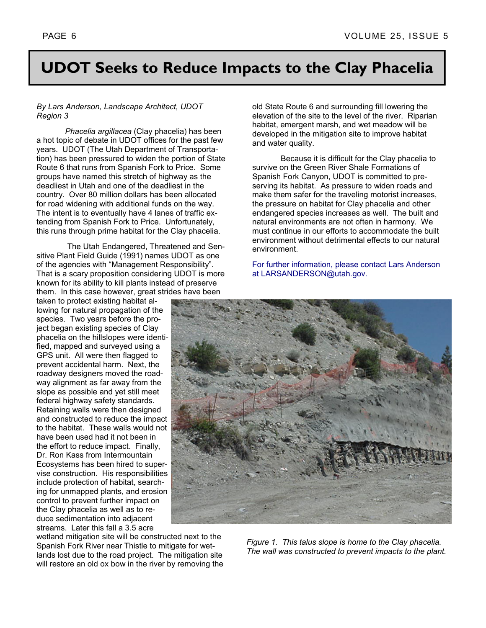## **UDOT Seeks to Reduce Impacts to the Clay Phacelia**

#### *By Lars Anderson, Landscape Architect, UDOT Region 3*

 *Phacelia argillacea* (Clay phacelia) has been a hot topic of debate in UDOT offices for the past few years. UDOT (The Utah Department of Transportation) has been pressured to widen the portion of State Route 6 that runs from Spanish Fork to Price. Some groups have named this stretch of highway as the deadliest in Utah and one of the deadliest in the country. Over 80 million dollars has been allocated for road widening with additional funds on the way. The intent is to eventually have 4 lanes of traffic extending from Spanish Fork to Price. Unfortunately, this runs through prime habitat for the Clay phacelia.

 The Utah Endangered, Threatened and Sensitive Plant Field Guide (1991) names UDOT as one of the agencies with "Management Responsibility". That is a scary proposition considering UDOT is more known for its ability to kill plants instead of preserve them. In this case however, great strides have been

taken to protect existing habitat allowing for natural propagation of the species. Two years before the project began existing species of Clay phacelia on the hillslopes were identified, mapped and surveyed using a GPS unit. All were then flagged to prevent accidental harm. Next, the roadway designers moved the roadway alignment as far away from the slope as possible and yet still meet federal highway safety standards. Retaining walls were then designed and constructed to reduce the impact to the habitat. These walls would not have been used had it not been in the effort to reduce impact. Finally, Dr. Ron Kass from Intermountain Ecosystems has been hired to supervise construction. His responsibilities include protection of habitat, searching for unmapped plants, and erosion control to prevent further impact on the Clay phacelia as well as to reduce sedimentation into adjacent streams. Later this fall a 3.5 acre

wetland mitigation site will be constructed next to the Spanish Fork River near Thistle to mitigate for wetlands lost due to the road project. The mitigation site will restore an old ox bow in the river by removing the old State Route 6 and surrounding fill lowering the elevation of the site to the level of the river. Riparian habitat, emergent marsh, and wet meadow will be developed in the mitigation site to improve habitat and water quality.

 Because it is difficult for the Clay phacelia to survive on the Green River Shale Formations of Spanish Fork Canyon, UDOT is committed to preserving its habitat. As pressure to widen roads and make them safer for the traveling motorist increases, the pressure on habitat for Clay phacelia and other endangered species increases as well. The built and natural environments are not often in harmony. We must continue in our efforts to accommodate the built environment without detrimental effects to our natural environment.

For further information, please contact Lars Anderson at LARSANDERSON@utah.gov.



*Figure 1. This talus slope is home to the Clay phacelia. The wall was constructed to prevent impacts to the plant.*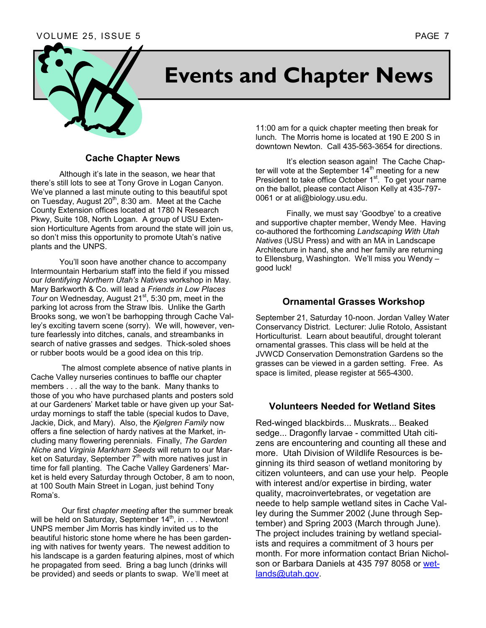#### VOLUME 25, ISSUE 5 PAGE 7



# **Events and Chapter News**

#### **Cache Chapter News**

 Although it's late in the season, we hear that there's still lots to see at Tony Grove in Logan Canyon. We've planned a last minute outing to this beautiful spot on Tuesday, August  $20<sup>th</sup>$ , 8:30 am. Meet at the Cache County Extension offices located at 1780 N Research Pkwy, Suite 108, North Logan. A group of USU Extension Horticulture Agents from around the state will join us, so don't miss this opportunity to promote Utah's native plants and the UNPS.

 You'll soon have another chance to accompany Intermountain Herbarium staff into the field if you missed our *Identifying Northern Utah's Natives* workshop in May. Mary Barkworth & Co. will lead a *Friends in Low Places Tour* on Wednesday, August 21<sup>st</sup>, 5:30 pm, meet in the parking lot across from the Straw Ibis. Unlike the Garth Brooks song, we won't be barhopping through Cache Valley's exciting tavern scene (sorry). We will, however, venture fearlessly into ditches, canals, and streambanks in search of native grasses and sedges. Thick-soled shoes or rubber boots would be a good idea on this trip.

 The almost complete absence of native plants in Cache Valley nurseries continues to baffle our chapter members . . . all the way to the bank. Many thanks to those of you who have purchased plants and posters sold at our Gardeners' Market table or have given up your Saturday mornings to staff the table (special kudos to Dave, Jackie, Dick, and Mary). Also, the *Kjelgren Family* now offers a fine selection of hardy natives at the Market, including many flowering perennials. Finally, *The Garden Niche* and *Virginia Markham Seeds* will return to our Market on Saturday, September  $7<sup>th</sup>$  with more natives just in time for fall planting. The Cache Valley Gardeners' Market is held every Saturday through October, 8 am to noon, at 100 South Main Street in Logan, just behind Tony Roma's.

 Our first *chapter meeting* after the summer break will be held on Saturday, September  $14<sup>th</sup>$ , in . . . Newton! UNPS member Jim Morris has kindly invited us to the beautiful historic stone home where he has been gardening with natives for twenty years. The newest addition to his landscape is a garden featuring alpines, most of which he propagated from seed. Bring a bag lunch (drinks will be provided) and seeds or plants to swap. We'll meet at

11:00 am for a quick chapter meeting then break for lunch. The Morris home is located at 190 E 200 S in downtown Newton. Call 435-563-3654 for directions.

 It's election season again! The Cache Chapter will vote at the September  $14<sup>th</sup>$  meeting for a new President to take office October 1<sup>st</sup>. To get your name on the ballot, please contact Alison Kelly at 435-797- 0061 or at ali@biology.usu.edu.

 Finally, we must say 'Goodbye' to a creative and supportive chapter member, Wendy Mee. Having co-authored the forthcoming *Landscaping With Utah Natives* (USU Press) and with an MA in Landscape Architecture in hand, she and her family are returning to Ellensburg, Washington. We'll miss you Wendy – good luck!

#### **Ornamental Grasses Workshop**

September 21, Saturday 10-noon. Jordan Valley Water Conservancy District. Lecturer: Julie Rotolo, Assistant Horticulturist. Learn about beautiful, drought tolerant ornamental grasses. This class will be held at the JVWCD Conservation Demonstration Gardens so the grasses can be viewed in a garden setting. Free. As space is limited, please register at 565-4300.

#### **Volunteers Needed for Wetland Sites**

Red-winged blackbirds... Muskrats... Beaked sedge... Dragonfly larvae - committed Utah citizens are encountering and counting all these and more. Utah Division of Wildlife Resources is beginning its third season of wetland monitoring by citizen volunteers, and can use your help. People with interest and/or expertise in birding, water quality, macroinvertebrates, or vegetation are neede to help sample wetland sites in Cache Valley during the Summer 2002 (June through September) and Spring 2003 (March through June). The project includes training by wetland specialists and requires a commitment of 3 hours per month. For more information contact Brian Nicholson or Barbara Daniels at 435 797 8058 or wetlands@utah.gov.